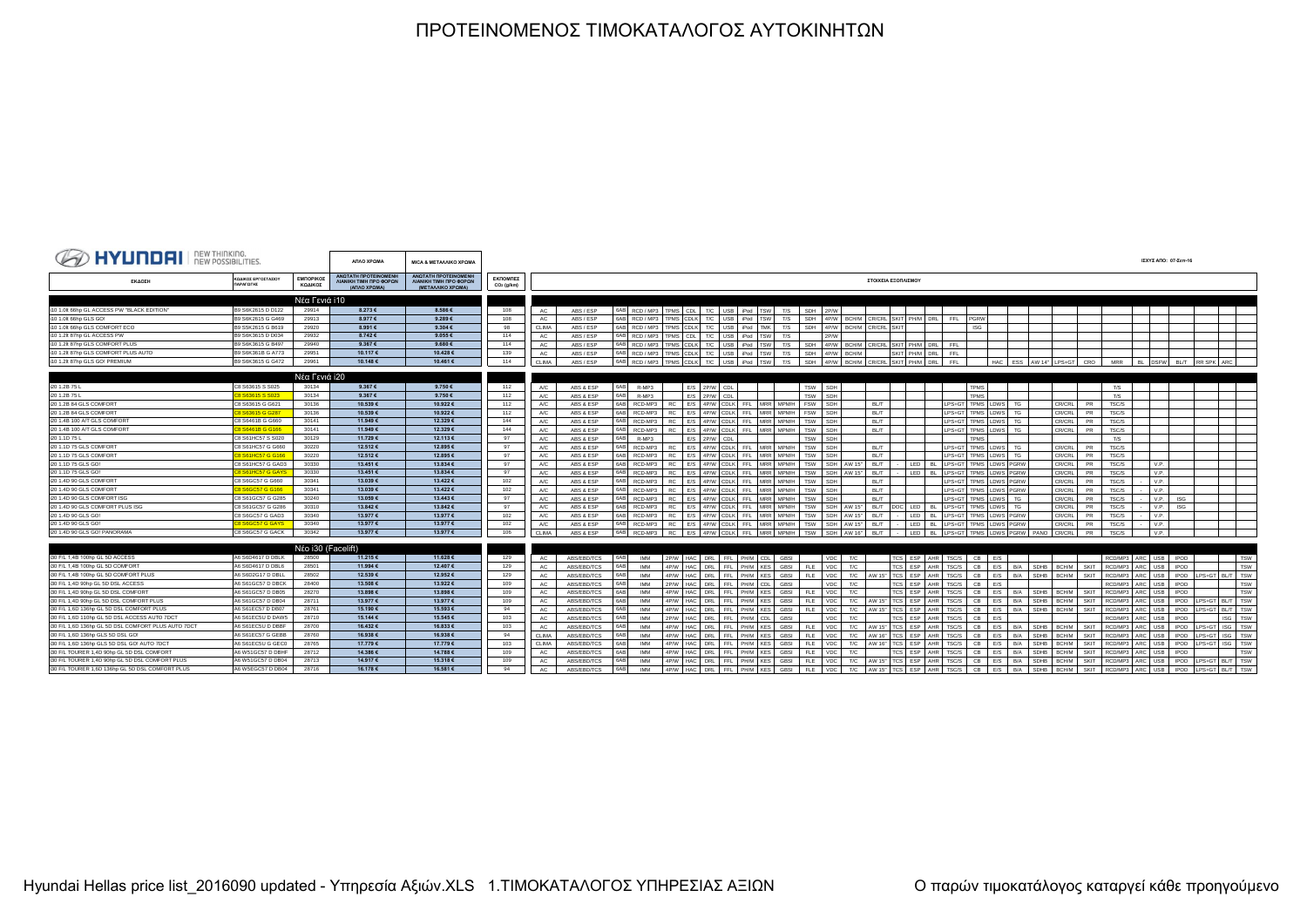## ΠΡΟΤΕΙΝΟΜΕΝΟΣ ΤΙΜΟΚΑΤΑΛΟΓΟΣ ΑΥΤΟΚΙΝΗΤΩΝ

| <b>BOHYUNDAI</b> REW THINKING.                                         |                                         |                      | ΑΠΛΟ ΧΡΩΜΑ                                                     | ΜΙΣΑ & ΜΕΤΑΛΛΙΚΟ ΧΡΩΜΑ                                                     |                                    |             |                        |                                |                        |               |                                |                               |            |                   |                        |                                                  |            |                  |                            |            |               |             |                       | ΙΣΧΥΣ ΑΠΟ: 07-Σεπ-16 |             |                         |
|------------------------------------------------------------------------|-----------------------------------------|----------------------|----------------------------------------------------------------|----------------------------------------------------------------------------|------------------------------------|-------------|------------------------|--------------------------------|------------------------|---------------|--------------------------------|-------------------------------|------------|-------------------|------------------------|--------------------------------------------------|------------|------------------|----------------------------|------------|---------------|-------------|-----------------------|----------------------|-------------|-------------------------|
| ΕΚΔΟΣΗ                                                                 | ΚΩΔΙΚΟΣ ΕΡΓΟΣΤΑΣΙΟΥ<br><b>ПАРАГОГНЕ</b> | ΕΜΠΟΡΙΚΟΣ<br>ΚΩΔΙΚΟΣ | ΑΝΩΤΑΤΗ ΠΡΟΤΕΙΝΟΜΕΝΗ<br>ΛΙΑΝΙΚΗ ΤΙΜΗ ΠΡΟ ΦΟΡΩΝ<br>(ΑΠΛΩ ΧΡΟΜΑ) | <b>ΑΝΩΤΑΤΗ ΠΡΟΤΕΙΝΟΜΕΝΗ</b><br>ΛΙΑΝΙΚΗ ΤΙΜΗ ΠΡΟ ΦΟΡΩΝ<br>(ΜΕΤΑΛΛΙΚΟ ΧΡΩΜΑ) | ΕΚΠΟΜΠΕΣ<br>CO <sub>2</sub> (g/km) |             |                        |                                |                        |               |                                |                               |            |                   | ΣΤΟΙΧΕΙΑ ΕΞΟΠΛΙΣΜΟΥ    |                                                  |            |                  |                            |            |               |             |                       |                      |             |                         |
|                                                                        |                                         |                      |                                                                |                                                                            |                                    |             |                        |                                |                        |               |                                |                               |            |                   |                        |                                                  |            |                  |                            |            |               |             |                       |                      |             |                         |
|                                                                        |                                         | Νέα Γενιά i10        |                                                                |                                                                            |                                    |             |                        |                                |                        |               |                                |                               |            |                   |                        |                                                  |            |                  |                            |            |               |             |                       |                      |             |                         |
| 110 1.0lt 66hp GL ACCESS PW "BLACK EDITION"                            | B9 S6K2615 D D122                       | 29914                | 8.273€                                                         | 8.586€                                                                     | 108                                | AC .        | ABS / ESP              | 6AB RCD/MP3 TPMS CDL           |                        |               | T/C USB iPod TSW               |                               | T/S SDH    | 2P/W              |                        |                                                  |            |                  |                            |            |               |             |                       |                      |             |                         |
| i10 1.0lt 66hp GLS GO!                                                 | B9 S6K2615 G G469                       | 29913                | 8.977€                                                         | 9.289 $\epsilon$                                                           | 108                                | AC.         | ABS / ESP              | 6AB RCD / MP3 TPMS CDLK        |                        | T/C           | <b>USB</b><br>iPod             | T/S<br><b>TSW</b>             | SDH        |                   |                        | 4P/W BCH/M CR/CRL SKIT PH/M DRL                  |            | FFL PGRW         |                            |            |               |             |                       |                      |             |                         |
| i10 1.0lt 66hp GLS COMFORT ECO                                         | B9 S5K2615 G B619                       | 29920                | 8.991€                                                         | 9.304 $\epsilon$                                                           | 98                                 | CLIMA       | ABS / ESP              | 6AB RCD / MP3                  | TPMS CDLK              | T/C           | USB <sup>I</sup>               | T/S<br>iPod TMK               | SDH        |                   | 4P/W BCH/M CR/CRL SKIT |                                                  |            | <b>ISG</b>       |                            |            |               |             |                       |                      |             |                         |
| i10 1.2lt 87hp GL ACCESS PW                                            | B9 S6K3615 D D034                       | 29932                | 8.742€                                                         | 9.055 $\in$                                                                | 114                                | AC.         | ABS / ESP              | 6AB RCD / MP3                  | TPMS CDL               | T/C           | <b>USB</b><br>iPod             | T/S<br><b>TSW</b>             |            | 2P/W              |                        |                                                  |            |                  |                            |            |               |             |                       |                      |             |                         |
| i10 1.2lt 87hp GLS COMFORT PLUS                                        | B9 S6K3615 G B497                       | 29940                | 9.367€<br>10.117€                                              | 9.680 $\epsilon$<br>10.428€                                                | 114<br>139                         | AC.         | ABS / ESP              | 6AB RCD / MP3                  | <b>TPMS</b><br>CDLK    | T/C           | <b>USB</b><br>iPod             | T/S<br><b>TSW</b>             | SDH<br>SDH | 4P/W BCH/M CR/CRL |                        | SKIT PH/M DRL                                    | FFL        |                  |                            |            |               |             |                       |                      |             |                         |
| i10 1.2lt 87hp GLS COMFORT PLUS AUTO<br>i10 1.2lt 87hp GLS GO! PREMIUM | B9 S6K361B G A773<br>B9 S6K3615 G G472  | 29951<br>29961       | 10.148€                                                        | 10.461€                                                                    | 114                                | AC<br>CLIMA | ABS / ESP<br>ABS / ESP | 6AB RCD / MP3<br>6AB RCD / MP3 | TPMS CDLK<br>TPMS CDLK | T/C<br>T/C    | <b>USB</b><br>USB <sup>I</sup> | T/S<br>iPod TSW<br>T/S        | SDH        | 4P/W BCH/M        |                        | SKIT PH/M DRL<br>4P/W BCH/M CR/CRL SKIT PH/M DRL | <b>FFL</b> |                  | HAC ESS AW 14" LPS+GT CRO  |            |               |             |                       |                      |             | BL DSFW BL/T RR SPK ARC |
|                                                                        |                                         |                      |                                                                |                                                                            |                                    |             |                        |                                |                        |               |                                | iPod TSW                      |            |                   |                        |                                                  | <b>FFL</b> |                  |                            |            |               |             | <b>MRR</b>            |                      |             |                         |
|                                                                        |                                         | Νέα Γενιά i20        |                                                                |                                                                            |                                    |             |                        |                                |                        |               |                                |                               |            |                   |                        |                                                  |            |                  |                            |            |               |             |                       |                      |             |                         |
| i20 1.2B 75 L                                                          | C8 S63615 S S025                        | 30134                | 9.367 $\epsilon$                                               | 9.750 $\epsilon$                                                           | 112                                | A/C         | ABS & ESP              | 6AB R-MP3                      |                        | E/S 2P/W CDL  |                                |                               | TSW SDH    |                   |                        |                                                  |            | <b>TPMS</b>      |                            |            |               |             | T/S                   |                      |             |                         |
| i20 1.2B 75 L                                                          | 38 S63615 S S023                        | 30134                | 9.367€                                                         | 9.750 $\epsilon$                                                           | 112                                | A/C         | ABS & ESP              | 6AB<br>R-MP3                   |                        | E/S 2P/W CDL  |                                |                               | TSW        | SDH               |                        |                                                  |            | <b>TPMS</b>      |                            |            |               |             | T/S                   |                      |             |                         |
| i20 1.2B 84 GLS COMFORT                                                | C8 S63615 G G621                        | 30136                | 10.539€                                                        | 10.922€                                                                    | 112                                | A/C         | ABS & ESP              | 6AB<br>RCD-MP3                 | <b>RC</b>              |               | E/S 4P/W CDLK FFL              | MRR MPMH                      | FSW        | SDH               | <b>BL/T</b>            |                                                  |            |                  | LPS+GT TPMS LDWS TG        |            | CR/CRL        | <b>PR</b>   | TSC/S                 |                      |             |                         |
| i20 1.2B 84 GLS COMFORT                                                | <b>28 S63615 G G287</b>                 | 30136                | 10.539€                                                        | 10.922€                                                                    | 112                                | A/C         | ABS & ESP              | 6AB<br>RCD-MP3                 | <b>RC</b>              |               | E/S 4P/W CDLK FFL              | <b>MRR</b><br><b>MPM/H</b>    | <b>FSW</b> | SDH               | <b>BL/T</b>            |                                                  |            | LPS+GT TPMS LDWS | TG                         |            | CR/CRL        | <b>PR</b>   | TSC/S                 |                      |             |                         |
| i20 1.4B 100 A/T GLS COMFORT                                           | C8 S6461B G G660                        | 30141                | 11.949€                                                        | 12.329€                                                                    | 144                                | A/C         | ABS & ESP              | 6AB<br>RCD-MP3                 | E/S<br>RC.             | 4P/W          | CDLK<br>FF1                    | <b>MRR</b><br><b>MPM/H</b>    | <b>TSW</b> | SDH               | BL/T                   |                                                  |            | PS+GT TPMS       | LDWS<br>TG                 |            | CR/CRL        | PR          | TSC/S                 |                      |             |                         |
| i20 1.4B 100 A/T GLS COMFORT                                           | <b>28 S6461B G G166</b>                 | 30141                | 11.949€                                                        | 12.329€                                                                    | 144                                | A/C         | ABS & ESP              | 6AB<br>RCD-MP3                 | E/S<br><b>RC</b>       | 4P/W CDLK     | <b>FFL</b>                     | <b>MPMH</b><br><b>MRR</b>     | <b>TSW</b> | SDH               | <b>BL/T</b>            |                                                  |            | LPS+GT TPMS LDWS | TG                         |            | CR/CRL        | <b>PR</b>   | TSC/S                 |                      |             |                         |
| i20 1.1D 75 L                                                          | C8 S61HC57 S S020                       | 30129                | 11.729€                                                        | 12.113€                                                                    | 97                                 | A/C         | ABS & ESP              | 6AB<br>R-MP3                   | E/S                    | 2P/W          | CDL                            |                               | <b>TSW</b> | SDH               |                        |                                                  |            | <b>TPMS</b>      |                            |            |               |             | T/S                   |                      |             |                         |
| i20 1.1D 75 GLS COMFORT                                                | C8 S61HC57 G G660                       | 30220                | 12.512€                                                        | 12.895€                                                                    | 97                                 | A/C         | ABS & ESP              | 6AB<br>RCD-MP3                 | E/S<br><b>RC</b>       | 4P/W CDLK     | FFL                            | <b>MPMH</b><br>MRR.           | <b>TSW</b> | SDH               | BI /T                  |                                                  |            | LPS+GT TPMS LDWS | TG                         |            | CR/CRL        | <b>PR</b>   | TSC/S                 |                      |             |                         |
| i20 1.1D 75 GLS COMFORT                                                | C8 S61HC57 G G166                       | 30220                | 12.512€                                                        | 12.895€                                                                    | 97                                 | A/C         | ABS & ESP              | 6AB<br>RCD-MP3                 | <b>RC</b><br>E/S       | 4P/W CDLK     | FFL                            | MRR.<br><b>MPM/H</b>          | <b>TSW</b> | SDH               | <b>BL/T</b>            |                                                  |            | LPS+GT TPMS      | LDWS<br>TG                 |            | CR/CRL        | <b>PR</b>   | TSC/S                 |                      |             |                         |
| i20 1.1D 75 GLS GO!                                                    | C8 S61HC57 G GAD3                       | 30330                | 13,451€                                                        | 13,834 €                                                                   | 97                                 | A/C         | ABS & ESP              | 6AB<br>RCD-MP3                 | E/S<br><b>RC</b>       | 4P/W CDLK     | FFL                            | <b>MPM/H</b><br><b>MRR</b>    | <b>TSW</b> | SDH AW 15"        | <b>BL/T</b>            | LED<br><b>BL</b>                                 |            |                  | LPS+GT TPMS LDWS PGRW      |            | CR/CRL        | PR          | TSC/S                 | V.P.                 |             |                         |
| i20 1.1D 75 GLS GO!                                                    | <b>C8 S61HC57 G GAYS</b>                | 30330                | 13.451€                                                        | 13.834 €                                                                   | 97                                 | A/C         | ABS & ESP              | 6AB<br>RCD-MP3                 | E/S<br><b>RC</b>       | 4P/W CDLK     | FFL                            | <b>MPM/H</b><br><b>MRR</b>    | <b>TSW</b> | SDH AW 15"        | <b>BL/T</b>            | LED<br>R <sub>1</sub>                            |            |                  | PS+GT TPMS LDWS PGRW       |            | CR/CRL        | <b>PR</b>   | TSC/S                 | V.P.                 |             |                         |
| i20 1.4D 90 GLS COMFORT                                                | C8 S6GC57 G G660                        | 30341                | 13.039€                                                        | 13.422 €                                                                   | 102                                | A/C         | ABS & ESP              | 6AB<br>RCD-MP3                 | <b>RC</b><br>E/S       | 4P/W          | CDLK<br><b>FF1</b>             | <b>MPM/H</b><br><b>MRR</b>    | <b>TSW</b> | SDH               | <b>BL/T</b>            |                                                  |            |                  | LPS+GT TPMS LDWS PGRW      |            | CR/CRL        | <b>PR</b>   | TSC/S                 | V.P.                 |             |                         |
| i20 1.4D 90 GLS COMFORT                                                | <b>28 S6GC57 G G166</b>                 | 30341                | 13.039€                                                        | 13.422€                                                                    | 102                                | A/C         | ABS & ESP              | 6AB<br>RCD-MP3                 | <b>RC</b>              | E/S 4P/W CDLK | <b>FFL</b>                     | <b>MPM/H</b><br><b>MRR</b>    | <b>TSW</b> | SDH               | <b>BL/T</b>            |                                                  |            |                  | LPS+GT TPMS LDWS PGRW      |            | CR/CRL        | PR          | TSC/S                 | V.P.                 |             |                         |
| i20 1.4D 90 GLS COMFORT ISG                                            | C8 S61GC57 G G285                       | 30240                | 13,059€                                                        | 13,443€                                                                    | 97                                 | A/C         | ABS & ESP              | 6AB<br>RCD-MP3                 | E/S<br><b>RC</b>       | 4P/W CDLK     | <b>FFL</b>                     | <b>MRR</b><br><b>MPM/H</b>    | <b>TSW</b> | SDH               | BI /T                  |                                                  |            | LPS+GT TPMS      | TG<br>LDWS <sup>1</sup>    |            | CR/CRL        | PR          | TSC/S                 | V.P.                 | <b>ISG</b>  |                         |
| i20 1.4D 90 GLS COMFORT PLUS ISG                                       | C8 S61GC57 G G286                       | 30310                | 13.842 €                                                       | 13.842€                                                                    | 97                                 | A/C         | ABS & ESP              | 6AB<br>RCD-MP3                 | <b>RC</b>              | E/S 4P/W CDLK |                                | FFL MRR MPMH                  | <b>TSW</b> | SDH AW 15"        | <b>BL/T</b>            | DOC LED<br><b>BL</b>                             |            | LPS+GT TPMS LDWS | TG                         |            | CR/CRL        | <b>PR</b>   | TSC/S                 | V.P.                 | <b>ISG</b>  |                         |
| i20 1.4D 90 GLS GO!                                                    | C8 S6GC57 G GAD3                        | 30340                | 13.977€                                                        | 13.977€                                                                    | 102                                | A/C         | ABS & ESP              | 6AB<br>RCD-MP3                 | <b>RC</b>              | $E/S$ 4P/W    | <b>CDLK</b><br>FFL             | <b>MPM/H</b><br><b>MRR</b>    | <b>TSW</b> | SDH AW 15         | <b>BL/T</b>            | LED                                              |            | PS+GT TPMS       | LDWS PGRW                  |            | CR/CRL        | <b>PR</b>   | TSC/S                 | V.P.                 |             |                         |
| i20 1.4D 90 GLS GO!                                                    | <b>38 S6GC57 G GAYS</b>                 | 30340                | 13.977€<br>13.977€                                             | 13.977€<br>13.977€                                                         | 102<br>106                         | A/C         | ABS & ESP              | 6AB RCD-MP3                    |                        |               |                                | RC E/S 4P/W CDLK FFL MRR MPMH | TSW        | SDH AW 15"        | <b>BL/T</b>            | LED<br><b>BL</b>                                 |            |                  | LPS+GT TPMS LDWS PGRW      |            | CR/CRL        | <b>PR</b>   | TSC/S                 | V.P.                 |             |                         |
| i20 1.4D 90 GLS GO! PANORAMA                                           | C8 S6GC57 G GACK                        | 30342                |                                                                |                                                                            |                                    | CLIMA       | ABS & ESP              | 6AB RCD-MP3                    |                        |               |                                | RC E/S 4P/W CDLK FFL MRR MPMH | TSW        | SDH AW 16"        | <b>BL/T</b>            | LED BL                                           |            |                  | LPS+GT TPMS LDWS PGRW PANO |            | <b>CR/CRL</b> | PR          | TSC/S                 | V.P.                 |             |                         |
|                                                                        |                                         | Νέο i30 (Facelift)   |                                                                |                                                                            |                                    |             |                        |                                |                        |               |                                |                               |            |                   |                        |                                                  |            |                  |                            |            |               |             |                       |                      |             |                         |
| i30 F/L 1,4B 100hp GL 5D ACCESS                                        | A6 S6D4617 D DBLK                       | 28500                | 11.215€                                                        | 11.628€                                                                    | 129                                | AC          | ABS/EBD/TCS            | 6AB<br><b>IMM</b>              |                        |               | 2P/W HAC DRL FFL PHM CDL       | GRSI                          |            | $VDC$ $T/C$       |                        | TCS ESP AHR                                      |            | TSC/S CB E/S     |                            |            |               |             | RCD/MP3               | ARC USB IPOD         |             | TSW                     |
| i30 F/L 1,4B 100hp GL 5D COMFORT                                       | A6 S6D4617 D DBL6                       | 28501                | 11.994€                                                        | 12,407€                                                                    | 129                                | AC          | ABS/EBD/TCS            | 6AB<br><b>IMM</b>              | 4P/W<br>HAC.           | DRL           | FFL                            | PH/M KES<br>GBSI              | <b>FLE</b> | VDC  <br>T/C      |                        | TCS ESP<br>AHR                                   | TSC/S      |                  | CB E/S B/A                 | SDHB BCH/M |               | <b>SKIT</b> | RCD/MP3               | ARC USB              | <b>IPOD</b> | TSW                     |
| i30 F/L 1,4B 100hp GL 5D COMFORT PLUS                                  | A6 S6D2G17 D DBLL                       | 28502                | 12.539€                                                        | 12.952€                                                                    | 129                                | AC          | ABS/EBD/TCS            | 6AB<br><b>IMM</b>              | 4P/W<br><b>HAC</b>     | DRL           | <b>FFL</b>                     | GBSI<br>PH/M KES              | <b>FLE</b> | VDC               | T/C AW 15"             | TCS ESP<br>AHR                                   | TSC/S      | <b>CB</b>        | E/S<br>B/A                 | SDHB       | BCH/M         | <b>SKIT</b> | RCD/MP3               | ARC USB              |             | IPOD LPS+GT BL/T TSW    |
| i30 F/L 1,4D 90hp GL 5D DSL ACCESS                                     | A6 S61GC57 D DBCK                       | 28400                | 13.508€                                                        | 13.922€                                                                    | 109                                | AC          | ABS/EBD/TCS            | 6AB<br><b>IMM</b>              | 2P/W                   | DRL           | <b>FFL</b><br>PH/M             | GBSI<br><b>CDL</b>            |            | VDC<br>T/C        |                        | TCS <sup>I</sup><br>ESP<br>AHR                   | TSC/S      | <b>CB</b>        | F/S                        |            |               |             | RCD/MP3<br>ARC I      | <b>USB</b>           | <b>IPOD</b> | TSW                     |
| i30 F/L 1,4D 90hp GL 5D DSL COMFORT                                    | A6 S61GC57 D DB05                       | 28270                | 13,898€                                                        | 13,898€                                                                    | 109                                | AC.         | ABS/EBD/TCS            | 6AB<br><b>IMM</b>              | 4P/W<br>HAC.           | DRL           | FFL I                          | PH/M KES<br>GBSI              | FLE        | VDC  <br>T/C      |                        | TCS ESP<br>AHR                                   | TSC/S      |                  | CB E/S B/A                 | SDHB       | BCH/M         | <b>SKIT</b> | RCD/MP3               | RC USB IPOD          |             | TSW                     |
| (30 F/L 1.4D 90hp GL 5D DSL COMFORT PLUS                               | A6 S61GC57 D DB04                       | 28711                | 13.977€                                                        | 13.977€                                                                    | 109                                | AC          | ABS/EBD/TCS            | 6AB<br><b>IMM</b>              | 4P/W                   |               | <b>FFL</b>                     | <b>GBSI</b><br>PH/M KES       | FLE        | VDC<br>T/C        | AW 15"                 | TCS ESP<br>AHR                                   | TSC/S      | <b>CB</b>        | E/S<br>R/A                 | SDHB       | BCH/M         | SKIT        | RCD/MP3               | RC USB               | <b>IPOD</b> | LPS+GT BL/T TSW         |
| (30 F/L 1,6D 136hp GL 5D DSL COMFORT PLUS                              | A6 S61EC57 D DB07                       | 28761                | 15.190 €                                                       | 15,593€                                                                    | 94                                 | <b>AC</b>   | ABS/EBD/TCS            | <b>IMM</b>                     | 4P/W<br>HAC.           | DRL           | <b>FFL</b>                     | GBSI<br>PH/M KES              | <b>FLE</b> | VDC<br>T/C        | AW 15"                 | TCS ESP<br>AHR                                   | TSC/S      | CB               | E/S<br>B/A                 | SDHB       | BCH/M         | <b>SKIT</b> | RCD/MP3               | RC USB               | <b>IPOD</b> | LPS+GT BL/T TSW         |
| (30 F/L 1.6D 110hp GL 5D DSL ACCESS AUTO 7DCT                          | A6 S61EC5U D DAW5                       | 28710                | 15.144€                                                        | 15,545€                                                                    | 103                                | AC          | ABS/EBD/TCS            | 6AB<br><b>IMM</b>              | 2P/W<br>HAC            | DRL           | FFL<br>PH/M                    | GBSI                          |            | VDC<br>T/C        |                        | ESP<br><b>CS</b><br>AHR                          | TSC/S      | C <sub>R</sub>   | F/S                        |            |               |             | RCD/MP3<br><b>ARC</b> | <b>USB</b>           | <b>IPOD</b> | ISG TSW                 |
| i30 F/L 1,6D 136hp GL 5D DSL COMFORT PLUS AUTO 7DCT                    | A6 S61EC5U D DBBF                       | 28700                | 16.432€                                                        | 16.833€                                                                    | 103                                | AC          | ABS/EBD/TCS            | 6AB<br><b>IMM</b>              | 4P/W<br>HAC.           | DRL           | FFL                            | GBSI<br>PH/M KES              | FLE        | VDC  <br>T/C      | AW 15"                 | TCS ESP<br>AHR                                   | TSC/S      |                  | CB E/S B/A                 | SDHB       | BCH/M         | <b>SKIT</b> | RCD/MP3               | RC USB               | <b>IPOD</b> | LPS+GT ISG TSW          |
| i30 F/L 1,6D 136hp GLS 5D DSL GO!                                      | A6 S61EC57 G GEBB                       | 28760                | 16.938€                                                        | 16.938€                                                                    | 94                                 | CLIMA       | ABS/EBD/TCS            | GAB<br><b>IMM</b>              | 4P/W                   | DRL           | <b>FFL</b>                     | <b>GBSI</b><br>PH/M KES       | <b>FLE</b> | VDC<br>T/C        | AW 16"                 | TCS <sup>I</sup><br>ESP<br>AHR                   | TSC/S      | <b>CB</b>        | E/S<br>B/A                 | SDHB       | BCH/M         | SKIT        | RCD/MP3<br><b>ARC</b> | <b>USB</b>           | <b>IPOD</b> | ISG TSW<br>LPS+G1       |
| i30 F/L 1,6D 136hp GLS 5D DSL GO! AUTO 7DCT                            | A6 S61EC5U G GEC0                       | 28765                | 17.779€                                                        | 17.779€                                                                    | 103                                | CLIMA       | ABS/EBD/TCS            | <b>IMM</b><br>SAB <sup>1</sup> | 4P/W<br>HAC I          | DRL           | FFL PHM KES                    | GBSI                          | <b>FLE</b> | VDC  <br>T/C      |                        | AW 16" TCS ESP<br><b>AHR</b>                     | TSC/S      | <b>CB</b>        | E/S<br>B/A                 | SDHB       | BCH/M         | <b>SKIT</b> | RCD/MP3               | RC USB POD           |             | LPS+GT ISG TSW          |
| (30 F/L TOURER 1.4D 90hp GL 5D DSL COMFORT                             | A6 W51GC57 D DBHF                       | 28712                | 14.386€                                                        | 14.788€                                                                    | 109                                | AC.         | ABS/EBD/TCS            | 6AB<br><b>IMM</b>              | 4P/W<br>HAC.           |               | DRL FFL PHM KES                | GBSI                          | FLF        | VDC  <br>T/C      |                        | TCS ESP AHR                                      |            | TSC/S CB E/S     | B/A                        | SDHB       | <b>BCH/M</b>  | <b>SKIT</b> | RCD/MP3               | ARC USB              | <b>IPOD</b> | TSW                     |
| (30 F/L TOURER 1.4D 90hp GL 5D DSL COMFORT PLUS                        | A6 W51GC57 D DB04                       | 28713                | 14.917€                                                        | 15,318€                                                                    | 109                                | AC          | ABS/EBD/TCS            | 6AB<br><b>IMM</b>              |                        |               | 4P/W HAC DRL FFL PH/M KES      | GBSI                          | FLE        |                   |                        | VDC T/C AW 15" TCS ESP AHR                       |            |                  | TSC/S CB E/S B/A           | SDHB       | <b>BCH/M</b>  | <b>SKIT</b> | RCD/MP3               | ARC USB              |             | IPOD LPS+GT BL/T TSW    |
| i30 F/L TOURER 1,6D 136hp GL 5D DSL COMFORT PLUS                       | A6 W5EGC57 D DB04                       | 28716                | 16.178€                                                        | 16,581€                                                                    | 94                                 | AC          | ABS/EBD/TCS            | 6AB<br><b>IMM</b>              | 4P/W                   | HAC DRL       | FFL PHM KES                    | GBSI                          | FLE VDC    | T/C               |                        | AW 15" TCS ESP AHR                               | TSC/S      | CB               | $E/S$ $B/A$                | SDHB       | <b>BCH/M</b>  | <b>SKIT</b> | RCD/MP3               | ARC USB IPOD         |             | LPS+GT BL/T TSW         |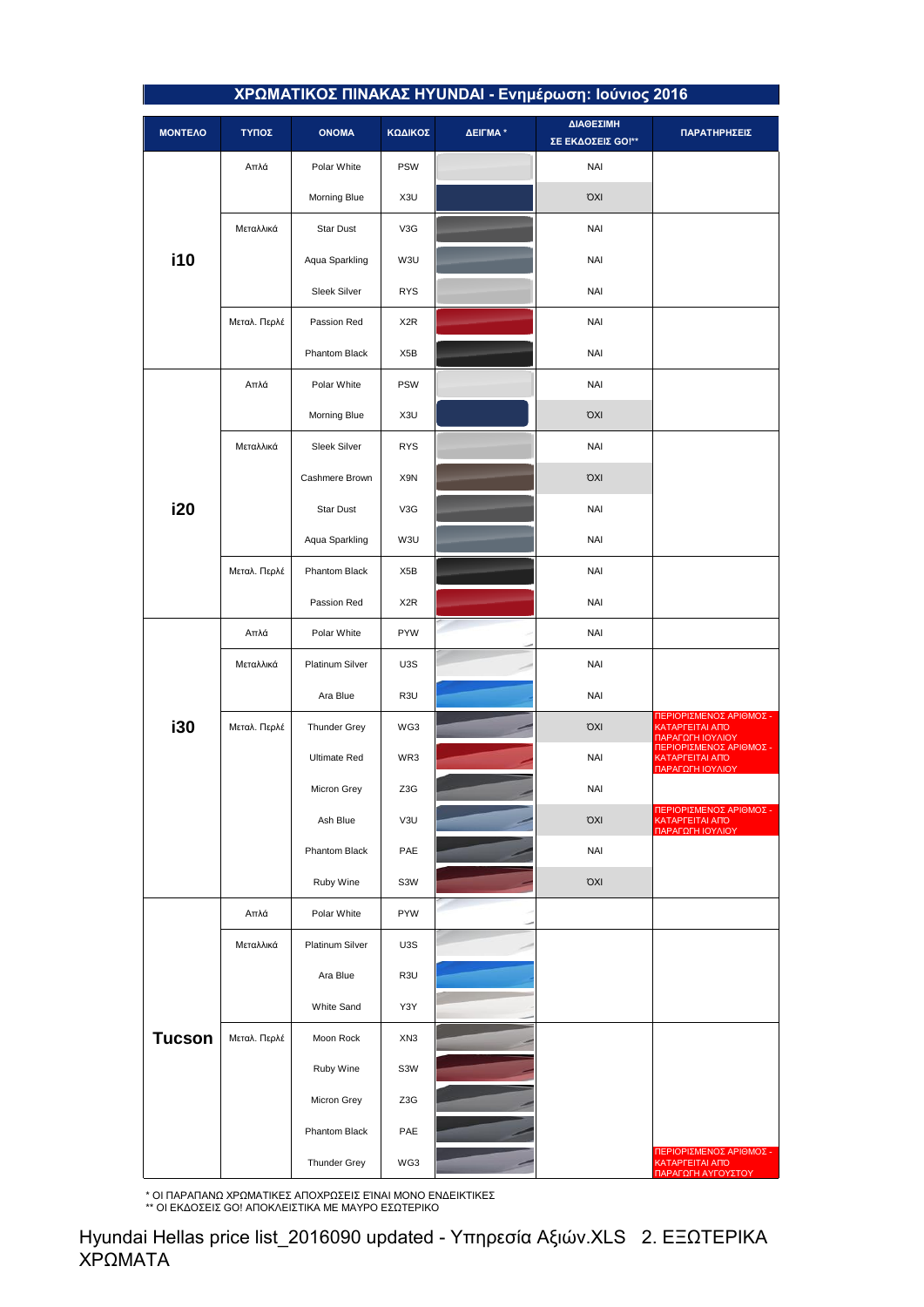| <b>MONTEAO</b> | ΤΥΠΟΣ        | <b>ONOMA</b>        | ΚΩΔΙΚΟΣ          | ΔΕΙΓΜΑ * | ΔΙΑΘΕΣΙΜΗ<br>ΣΕ ΕΚΔΟΣΕΙΣ GO!** | ΠΑΡΑΤΗΡΗΣΕΙΣ                                                     |
|----------------|--------------|---------------------|------------------|----------|--------------------------------|------------------------------------------------------------------|
|                | Απλά         | Polar White         | <b>PSW</b>       |          | NAI                            |                                                                  |
|                |              | Morning Blue        | X3U              |          | <b>OXI</b>                     |                                                                  |
|                | Μεταλλικά    | <b>Star Dust</b>    | V3G              |          | <b>NAI</b>                     |                                                                  |
| i10            |              | Aqua Sparkling      | W3U              |          | NAI                            |                                                                  |
|                |              | Sleek Silver        | <b>RYS</b>       |          | <b>NAI</b>                     |                                                                  |
|                | Μεταλ. Περλέ | Passion Red         | X <sub>2</sub> R |          | <b>NAI</b>                     |                                                                  |
|                |              | Phantom Black       | X5B              |          | NAI                            |                                                                  |
|                | Απλά         | Polar White         | <b>PSW</b>       |          | <b>NAI</b>                     |                                                                  |
|                |              | Morning Blue        | X3U              |          | <b>OXI</b>                     |                                                                  |
|                | Μεταλλικά    | Sleek Silver        | <b>RYS</b>       |          | <b>NAI</b>                     |                                                                  |
|                |              | Cashmere Brown      | X9N              |          | <b>OXI</b>                     |                                                                  |
| i20            |              | <b>Star Dust</b>    | V3G              |          | <b>NAI</b>                     |                                                                  |
|                |              | Aqua Sparkling      | W3U              |          | <b>NAI</b>                     |                                                                  |
|                | Μεταλ. Περλέ | Phantom Black       | X <sub>5</sub> B |          | NAI                            |                                                                  |
|                |              | Passion Red         | X <sub>2</sub> R |          | NAI                            |                                                                  |
|                | Απλά         | Polar White         | <b>PYW</b>       |          | <b>NAI</b>                     |                                                                  |
|                | Μεταλλικά    | Platinum Silver     | U3S              |          | <b>NAI</b>                     |                                                                  |
|                |              | Ara Blue            | R3U              |          | <b>NAI</b>                     |                                                                  |
| i30            | Μεταλ. Περλέ | <b>Thunder Grey</b> | WG3              |          | <b>OXI</b>                     | ΠΕΡΙΟΡΙΣΜΕΝΟΣ ΑΡΙΘΜΟΣ -<br>ΚΑΤΑΡΓΕΙΤΑΙ ΑΠΌ                       |
|                |              | <b>Ultimate Red</b> | WR3              |          | NAI                            | ΠΑΡΑΓΩΓΗ ΙΟΥΛΙΟΥ<br>ΠΕΡΙΟΡΙΣΜΕΝΟΣ ΑΡΙΘΜΟΣ -<br>ΚΑΤΑΡΓΕΙΤΑΙ ΑΠΌ   |
|                |              | Micron Grey         | Z3G              |          | NAI                            | ΠΑΡΑΓΩΓΗ ΙΟΥΛΙΟΥ                                                 |
|                |              | Ash Blue            | V3U              |          | <b>DXI</b>                     | ΤΕΡΙΟΡΙΣΜΕΝΟΣ ΑΡΙΘΜΟΣ -<br>KATAPFEITAI A <mark>NO</mark>         |
|                |              | Phantom Black       | PAE              |          | <b>NAI</b>                     | ΠΑΡΑΓΩΓΗ ΙΟΥΛΙΟΥ                                                 |
|                |              | Ruby Wine           | S3W              |          | <b>OXI</b>                     |                                                                  |
|                | Απλά         | Polar White         | <b>PYW</b>       |          |                                |                                                                  |
|                | Μεταλλικά    | Platinum Silver     | U3S              |          |                                |                                                                  |
|                |              | Ara Blue            | R3U              |          |                                |                                                                  |
|                |              | White Sand          | Y3Y              |          |                                |                                                                  |
| <b>Tucson</b>  | Μεταλ. Περλέ | Moon Rock           | XN3              |          |                                |                                                                  |
|                |              | Ruby Wine           | S3W              |          |                                |                                                                  |
|                |              | Micron Grey         | Z3G              |          |                                |                                                                  |
|                |              | Phantom Black       | PAE              |          |                                |                                                                  |
|                |              | Thunder Grey        | WG3              |          |                                | ΠΕΡΙΟΡΙΣΜΕΝΟΣ ΑΡΙΘΜΟΣ -<br>ΚΑΤΑΡΓΕΙΤΑΙ ΑΠΌ<br>ΠΑΡΑΓΩΓΗ ΑΥΓΟΥΣΤΟΥ |

\* ΟΙ ΠΑΡΑΠΑΝΩ ΧΡΩΜΑΤΙΚΕΣ ΑΠΟΧΡΩΣΕΙΣ ΕΊΝΑΙ ΜΟΝΟ ΕΝΔΕΙΚΤΙΚΕΣ

\*\* ΟΙ ΕΚΔΟΣΕΙΣ GO! ΑΠΟΚΛΕΙΣΤΙΚΑ ΜΕ ΜΑΥΡΟ ΕΣΩΤΕΡΙΚΟ

Hyundai Hellas price list\_2016090 updated - Υπηρεσία Αξιών.XLS 2. ΕΞΩΤΕΡΙΚΑ ΧΡΩΜΑΤΑ

## **ΧΡΩΜΑΤΙΚΟΣ ΠΙΝΑΚΑΣ HYUNDAI - Ενημέρωση: Ιούνιος 2016**